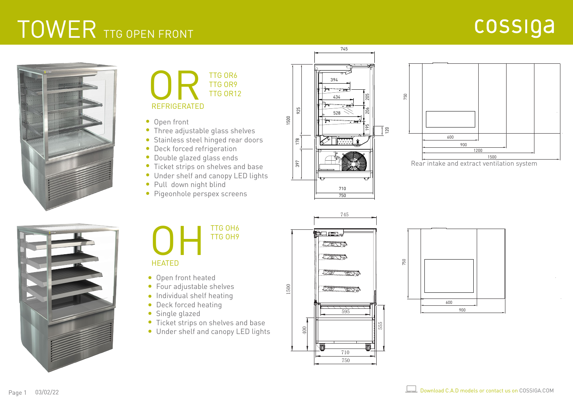## TOWER TTG OPEN FRONT

## cossiga





- Open front
- Three adjustable glass shelves
- Stainless steel hinged rear doors
- Deck forced refrigeration
- Double glazed glass ends
- **•** Ticket strips on shelves and base
- Under shelf and canopy LED lights
- Pull down night blind
- **Pigeonhole perspex screens**





Rear intake and extract ventilation system





## **HEATED**

- Open front heated
- Four adjustable shelves
- **•** Individual shelf heating
- Deck forced heating
- Single glazed
- Ticket strips on shelves and base
- Under shelf and canopy LED lights



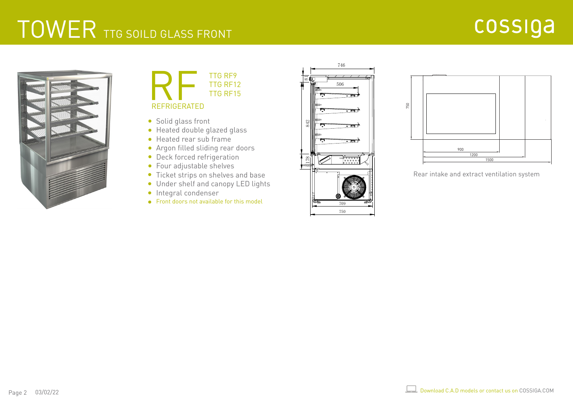## TOWER TTG SOILD GLASS FRONT





- Solid glass front
- Heated double glazed glass
- Heated rear sub frame
- Argon filled sliding rear doors
- **•** Deck forced refrigeration
- Four adjustable shelves
- Ticket strips on shelves and base
- Under shelf and canopy LED lights
- **·** Integral condenser
- Front doors not available for this model





Rear intake and extract ventilation system